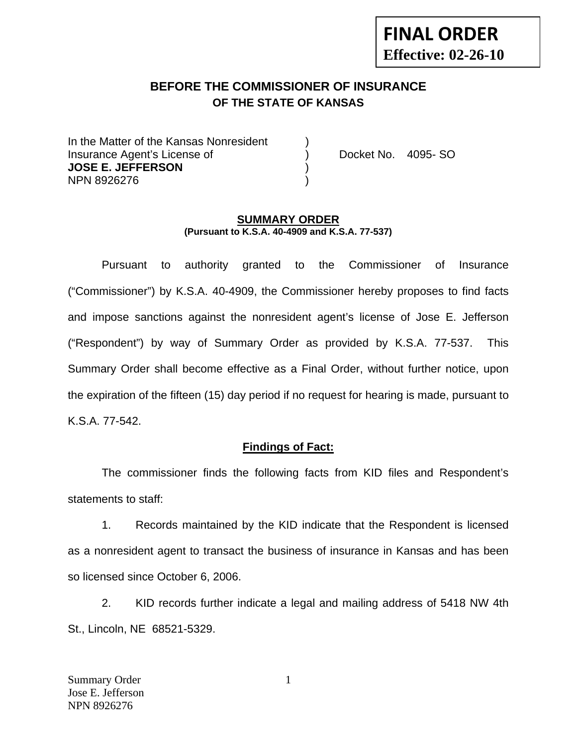# **FINAL ORDER Effective: 02-26-10**

### **BEFORE THE COMMISSIONER OF INSURANCE OF THE STATE OF KANSAS**

In the Matter of the Kansas Nonresident Insurance Agent's License of ) Docket No. 4095- SO **JOSE E. JEFFERSON** ) NPN 8926276 )

#### **SUMMARY ORDER (Pursuant to K.S.A. 40-4909 and K.S.A. 77-537)**

 Pursuant to authority granted to the Commissioner of Insurance ("Commissioner") by K.S.A. 40-4909, the Commissioner hereby proposes to find facts and impose sanctions against the nonresident agent's license of Jose E. Jefferson ("Respondent") by way of Summary Order as provided by K.S.A. 77-537. This Summary Order shall become effective as a Final Order, without further notice, upon the expiration of the fifteen (15) day period if no request for hearing is made, pursuant to K.S.A. 77-542.

#### **Findings of Fact:**

 The commissioner finds the following facts from KID files and Respondent's statements to staff:

 1. Records maintained by the KID indicate that the Respondent is licensed as a nonresident agent to transact the business of insurance in Kansas and has been so licensed since October 6, 2006.

 2. KID records further indicate a legal and mailing address of 5418 NW 4th St., Lincoln, NE 68521-5329.

1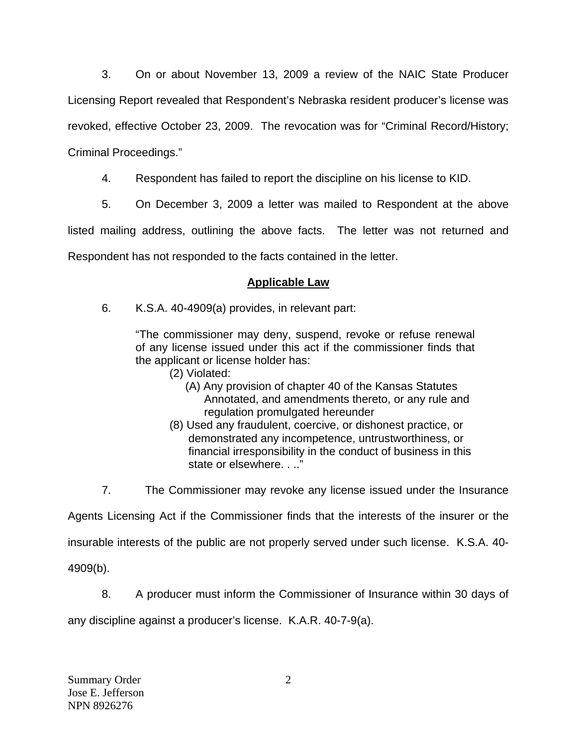3. On or about November 13, 2009 a review of the NAIC State Producer Licensing Report revealed that Respondent's Nebraska resident producer's license was revoked, effective October 23, 2009. The revocation was for "Criminal Record/History; Criminal Proceedings."

4. Respondent has failed to report the discipline on his license to KID.

5. On December 3, 2009 a letter was mailed to Respondent at the above

listed mailing address, outlining the above facts. The letter was not returned and Respondent has not responded to the facts contained in the letter.

## **Applicable Law**

6. K.S.A. 40-4909(a) provides, in relevant part:

"The commissioner may deny, suspend, revoke or refuse renewal of any license issued under this act if the commissioner finds that the applicant or license holder has:

- (2) Violated:
	- (A) Any provision of chapter 40 of the Kansas Statutes Annotated, and amendments thereto, or any rule and regulation promulgated hereunder
- (8) Used any fraudulent, coercive, or dishonest practice, or demonstrated any incompetence, untrustworthiness, or financial irresponsibility in the conduct of business in this state or elsewhere. . .."

7. The Commissioner may revoke any license issued under the Insurance

Agents Licensing Act if the Commissioner finds that the interests of the insurer or the

insurable interests of the public are not properly served under such license. K.S.A. 40-

4909(b).

8. A producer must inform the Commissioner of Insurance within 30 days of

any discipline against a producer's license. K.A.R. 40-7-9(a).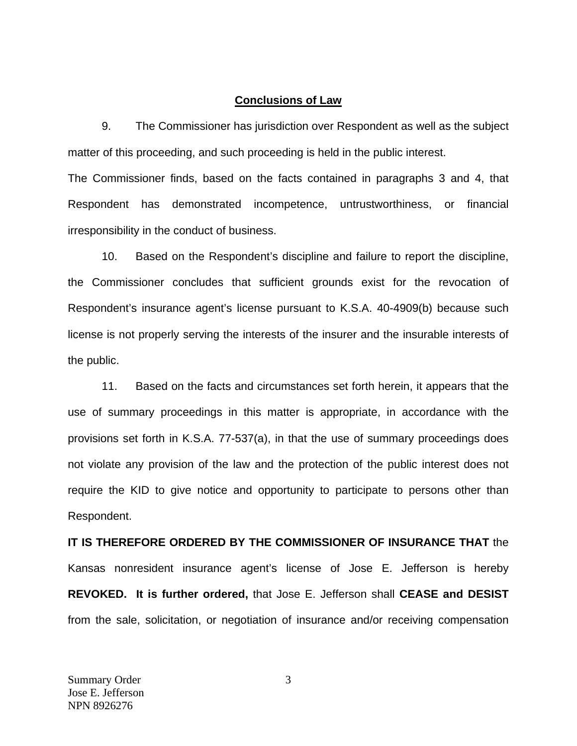#### **Conclusions of Law**

 9. The Commissioner has jurisdiction over Respondent as well as the subject matter of this proceeding, and such proceeding is held in the public interest.

The Commissioner finds, based on the facts contained in paragraphs 3 and 4, that Respondent has demonstrated incompetence, untrustworthiness, or financial irresponsibility in the conduct of business.

 10. Based on the Respondent's discipline and failure to report the discipline, the Commissioner concludes that sufficient grounds exist for the revocation of Respondent's insurance agent's license pursuant to K.S.A. 40-4909(b) because such license is not properly serving the interests of the insurer and the insurable interests of the public.

 11. Based on the facts and circumstances set forth herein, it appears that the use of summary proceedings in this matter is appropriate, in accordance with the provisions set forth in K.S.A. 77-537(a), in that the use of summary proceedings does not violate any provision of the law and the protection of the public interest does not require the KID to give notice and opportunity to participate to persons other than Respondent.

**IT IS THEREFORE ORDERED BY THE COMMISSIONER OF INSURANCE THAT** the Kansas nonresident insurance agent's license of Jose E. Jefferson is hereby **REVOKED. It is further ordered,** that Jose E. Jefferson shall **CEASE and DESIST** from the sale, solicitation, or negotiation of insurance and/or receiving compensation

3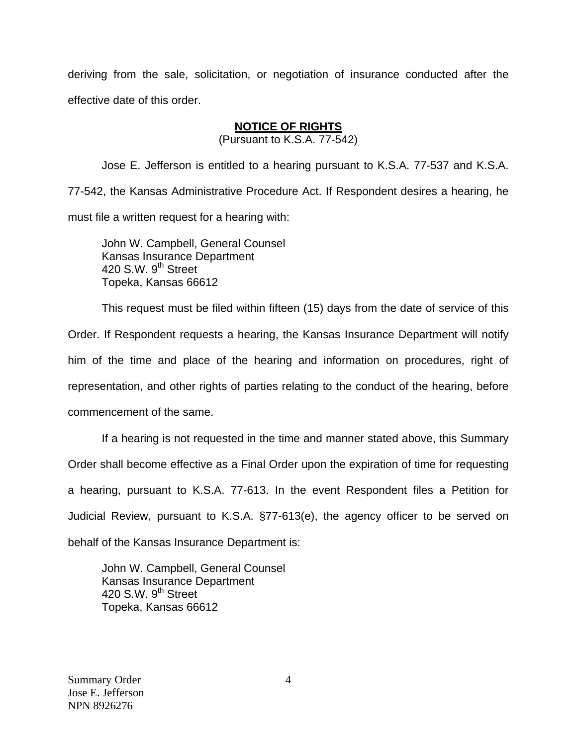deriving from the sale, solicitation, or negotiation of insurance conducted after the effective date of this order.

### **NOTICE OF RIGHTS**

(Pursuant to K.S.A. 77-542)

Jose E. Jefferson is entitled to a hearing pursuant to K.S.A. 77-537 and K.S.A. 77-542, the Kansas Administrative Procedure Act. If Respondent desires a hearing, he must file a written request for a hearing with:

 John W. Campbell, General Counsel Kansas Insurance Department 420 S.W. 9<sup>th</sup> Street Topeka, Kansas 66612

This request must be filed within fifteen (15) days from the date of service of this Order. If Respondent requests a hearing, the Kansas Insurance Department will notify him of the time and place of the hearing and information on procedures, right of representation, and other rights of parties relating to the conduct of the hearing, before commencement of the same.

If a hearing is not requested in the time and manner stated above, this Summary Order shall become effective as a Final Order upon the expiration of time for requesting a hearing, pursuant to K.S.A. 77-613. In the event Respondent files a Petition for Judicial Review, pursuant to K.S.A. §77-613(e), the agency officer to be served on behalf of the Kansas Insurance Department is:

 John W. Campbell, General Counsel Kansas Insurance Department 420 S.W. 9<sup>th</sup> Street Topeka, Kansas 66612